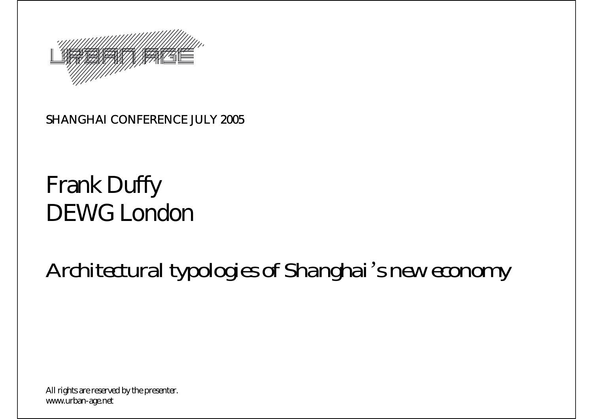

SHANGHAI CONFERENCE JULY 2005

## Frank Duffy DEWG London

## *Architectural typologies of Shanghai 's new economy*

All rights are reserved by the presenter. www.urban-age.net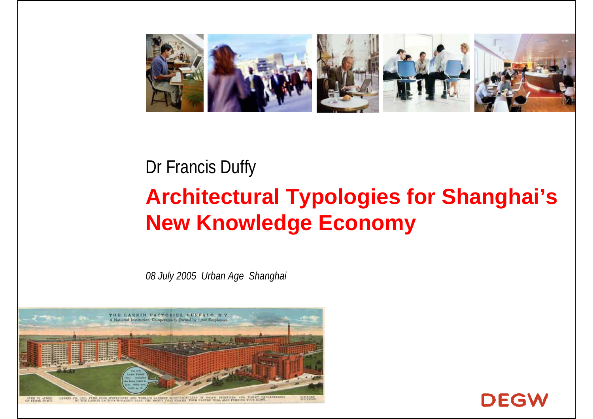

## Dr Francis Duffy **Architectural Typologies for Shanghai's New Knowledge Economy**

*08 July 2005 Urban Age Shanghai*



LABRIN CO. DEL PUBE POD SPRITALISTS AND WORLD'S LABRARY MANUFACTURERS OF SOAPS, PERFUMBS, AND TOILET PERPARATED<br>THE LABRARY PACTORS TO FAMILY FLAN, THE WORLD THAT STOCKS TOUR PAPERT WILL ALSO FURSION YOUR HOME.

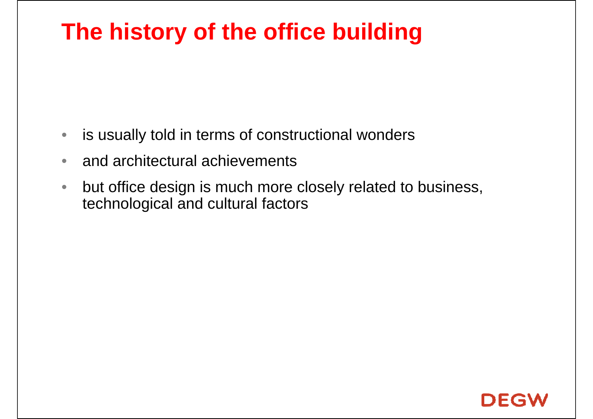# **The history of the office building**

- $\bullet$ is usually told in terms of constructional wonders
- $\bullet$ and architectural achievements
- $\bullet$  but office design is much more closely related to business, technological and cultural factors

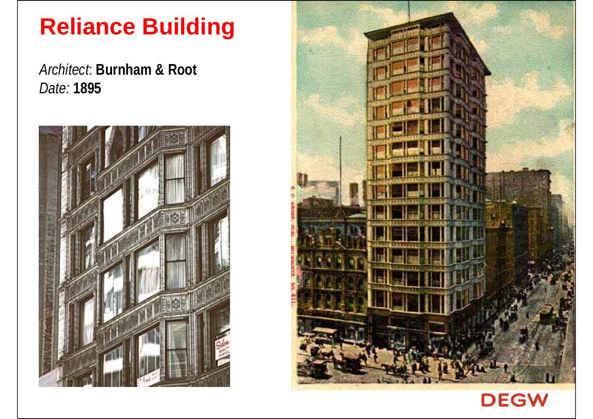## **Reliance Building**

*Architect*: **Burnham & Root** *Date:* **1895**





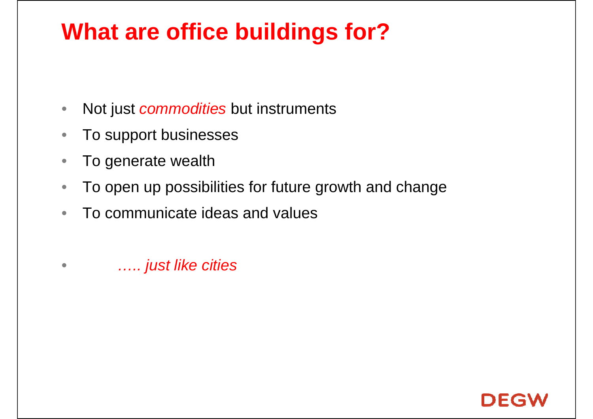## **What are office buildings for?**

- $\bullet$ Not just *commodities* but instruments
- $\bullet$ To support businesses
- $\bullet$ To generate wealth
- $\bullet$ To open up possibilities for future growth and change
- $\bullet$ To communicate ideas and values

 $\bullet$ *….. just like cities*

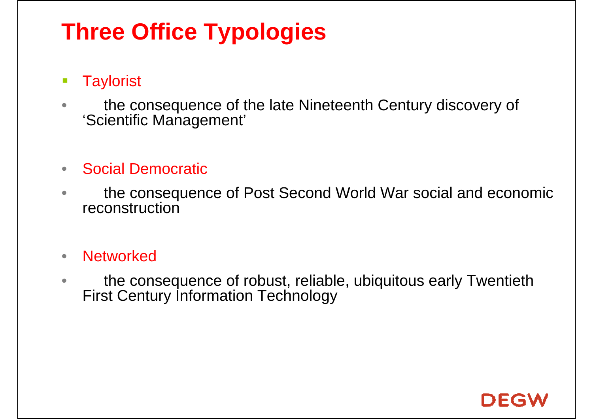# **Three Office Typologies**

- $\mathbb{R}^2$ **Taylorist**
- $\bullet$  the consequence of the late Nineteenth Century discovery of 'Scientific Management'
- $\bullet$ Social Democratic
- $\bullet$  the consequence of Post Second World War social and economic reconstruction
- $\bullet$ **Networked**
- $\bullet$  the consequence of robust, reliable, ubiquitous early Twentieth First Century Information Technology

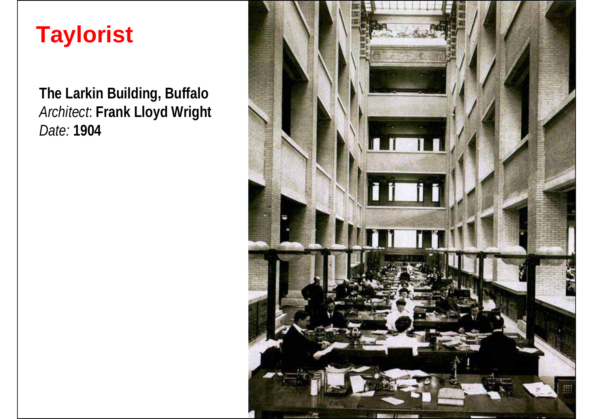**The Larkin Building, Buffalo** *Architect*: **Frank Lloyd Wright** *Date:* **1904**

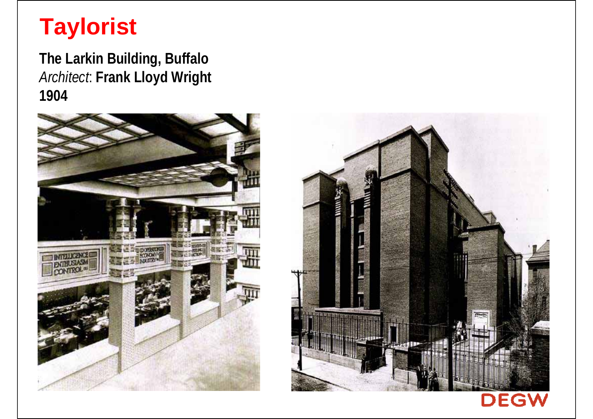#### **The Larkin Building, Buffalo** *Architect*: **Frank Lloyd Wright 1904**



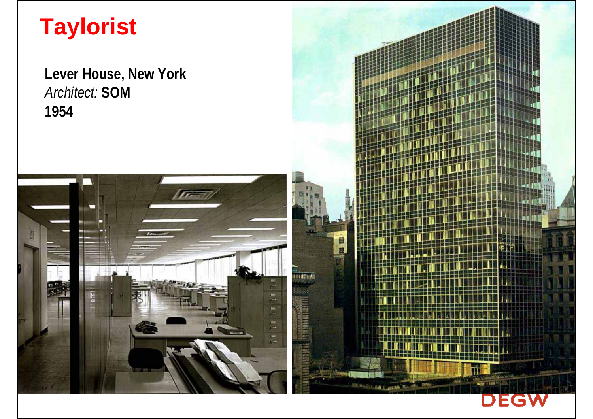**Lever House, New York** *Architect:* **SOM 1954**



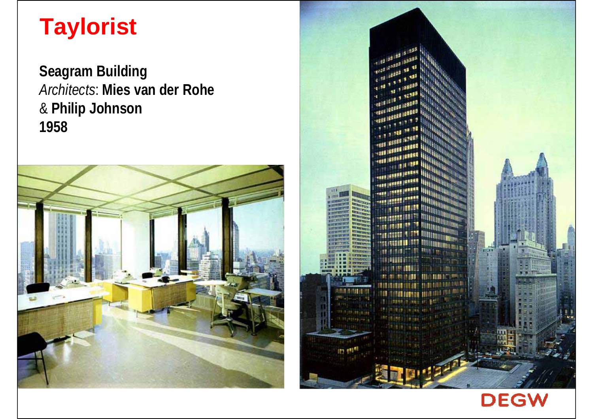**Seagram Building** *Architects*: **Mies van der Rohe** & **Philip Johnson 1958**



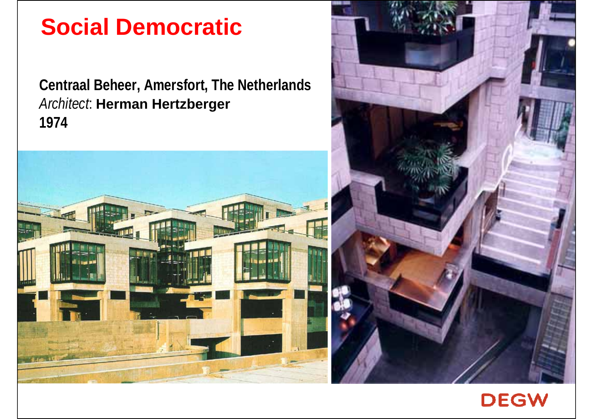## **Social Democratic**

**Centraal Beheer, Amersfort, The Netherlands** *Architect*: **Herman Hertzberger 1974**





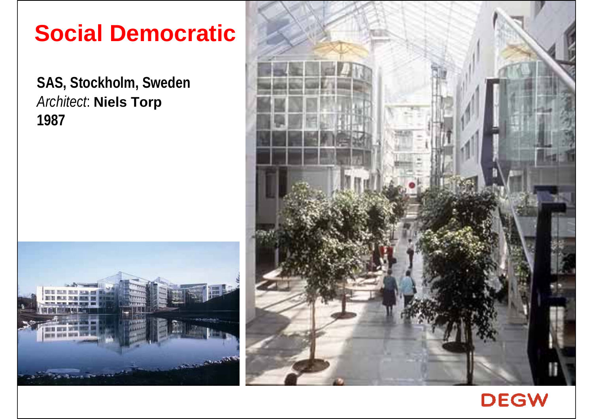## **Social Democratic**

**SAS, Stockholm, Sweden** *Architect*: **Niels Torp 1987**





## **DEGW**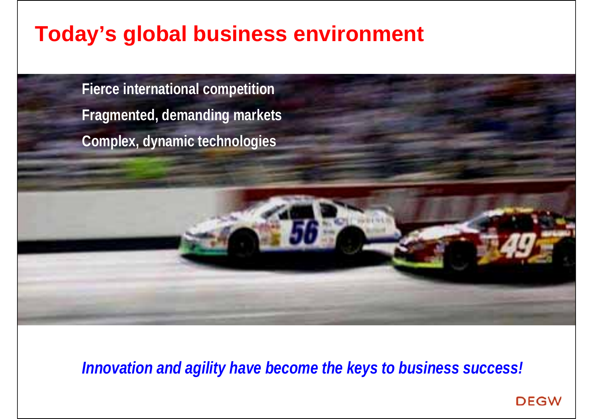## **Today's global business environment**

**Fierce international competition Fragmented, demanding markets Complex, dynamic technologies**

*Innovation and agility have become the keys to business success!*

**DEGW**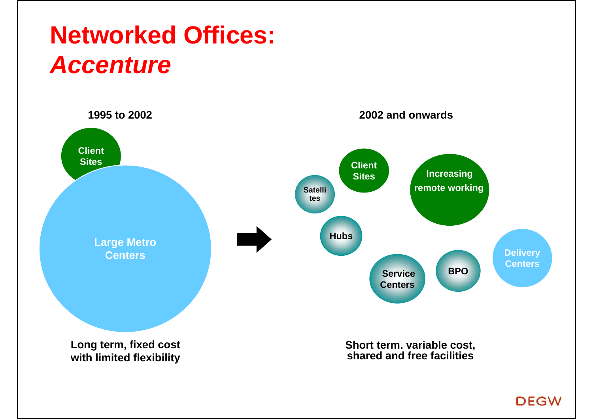# **Networked Offices:** *Accenture*

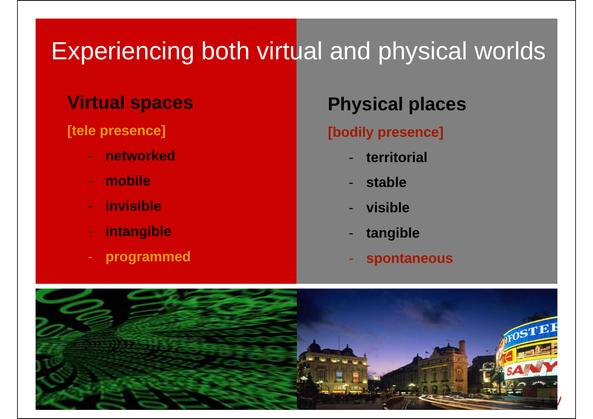## Experiencing both virtual and physical worlds

### **Virtual spaces**

**[tele presence]**

- **networked**
- **mobile**
- **invisible**
- **intangible**
- **programmed**

## **Physical places**

#### **[bodily presence]**

- **territorial**
- **stable**
- **visible**
- **tangible**
- **spontaneous**

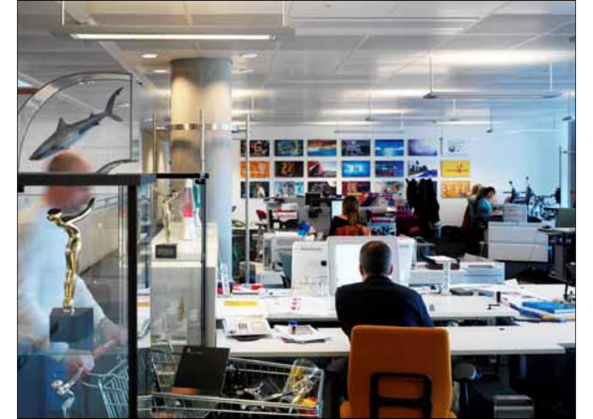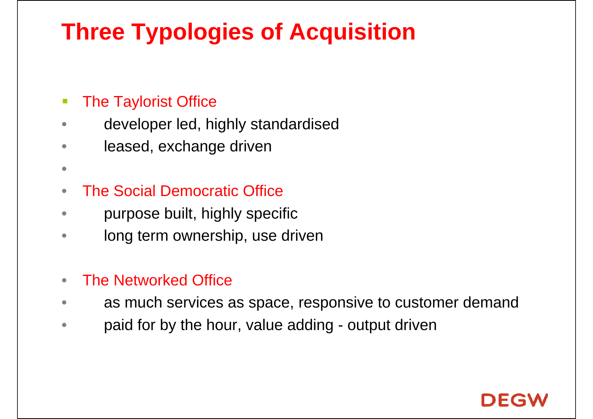## **Three Typologies of Acquisition**

- $\mathbb{R}^2$ The Taylorist Office
- $\bullet$ developer led, highly standardised
- $\bullet$ leased, exchange driven
- $\bullet$
- •The Social Democratic Office
- $\bullet$ purpose built, highly specific
- $\bullet$ long term ownership, use driven
- $\bullet$ The Networked Office
- $\bullet$ as much services as space, responsive to customer demand
- •paid for by the hour, value adding - output driven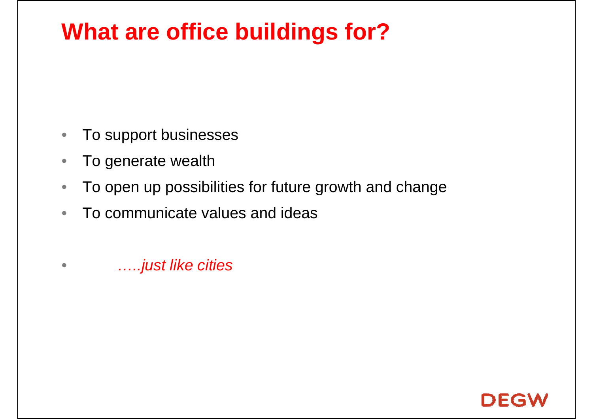## **What are office buildings for?**

- $\bullet$ To support businesses
- $\bullet$ To generate wealth
- $\bullet$ To open up possibilities for future growth and change
- $\bullet$ To communicate values and ideas
- $\bullet$ *…..just like cities*

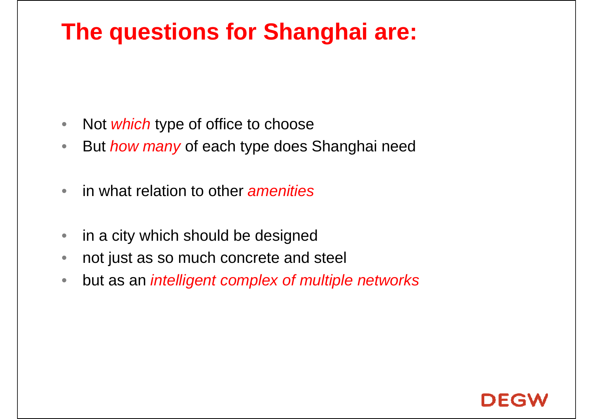## **The questions for Shanghai are:**

- $\bullet$ Not *which* type of office to choose
- $\bullet$ But *how many* of each type does Shanghai need
- $\bullet$ in what relation to other *amenities*
- $\bullet$ in a city which should be designed
- $\bullet$ not just as so much concrete and steel
- $\bullet$ but as an *intelligent complex of multiple networks*

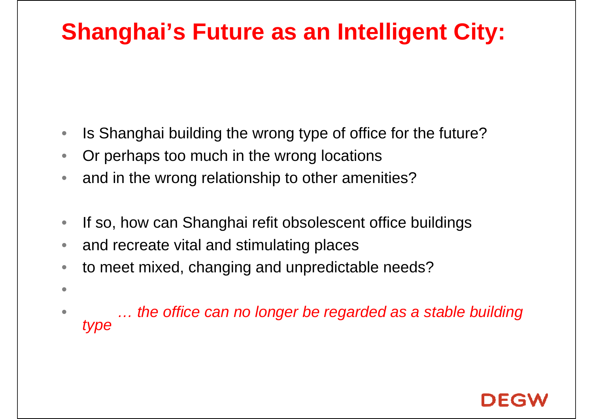## **Shanghai's Future as an Intelligent City:**

- $\bullet$ Is Shanghai building the wrong type of office for the future?
- $\bullet$ Or perhaps too much in the wrong locations
- $\bullet$ and in the wrong relationship to other amenities?
- $\bullet$ If so, how can Shanghai refit obsolescent office buildings
- $\bullet$ and recreate vital and stimulating places
- $\bullet$ to meet mixed, changing and unpredictable needs?
- $\bullet$

•

*… the office can no longer be regarded as a stable building type*